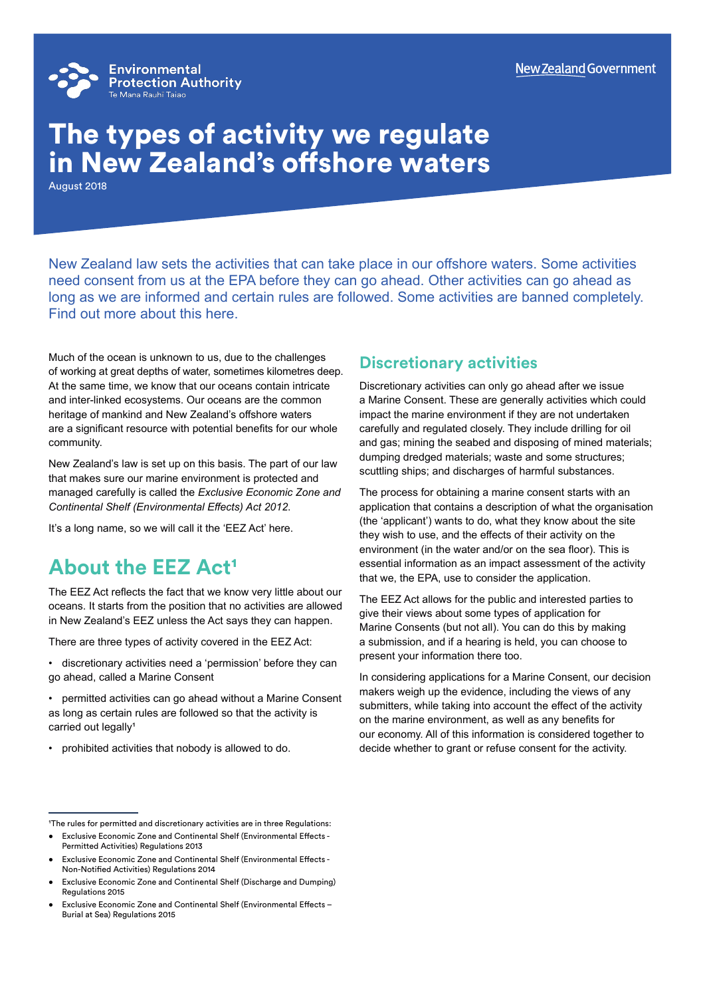

# The types of activity we regulate in New Zealand's offshore waters

August 2018

New Zealand law sets the activities that can take place in our offshore waters. Some activities need consent from us at the EPA before they can go ahead. Other activities can go ahead as long as we are informed and certain rules are followed. Some activities are banned completely. Find out more about this here.

Much of the ocean is unknown to us, due to the challenges of working at great depths of water, sometimes kilometres deep. At the same time, we know that our oceans contain intricate and inter-linked ecosystems. Our oceans are the common heritage of mankind and New Zealand's offshore waters are a significant resource with potential benefits for our whole community.

New Zealand's law is set up on this basis. The part of our law that makes sure our marine environment is protected and managed carefully is called the *Exclusive Economic Zone and Continental Shelf (Environmental Effects) Act 2012*.

It's a long name, so we will call it the 'EEZ Act' here.

## **About the EEZ Act<sup>1</sup>**

The EEZ Act reflects the fact that we know very little about our oceans. It starts from the position that no activities are allowed in New Zealand's EEZ unless the Act says they can happen.

There are three types of activity covered in the EEZ Act:

• discretionary activities need a 'permission' before they can go ahead, called a Marine Consent

- permitted activities can go ahead without a Marine Consent as long as certain rules are followed so that the activity is carried out legally<sup>1</sup>
- prohibited activities that nobody is allowed to do.

#### **Discretionary activities**

Discretionary activities can only go ahead after we issue a Marine Consent. These are generally activities which could impact the marine environment if they are not undertaken carefully and regulated closely. They include drilling for oil and gas; mining the seabed and disposing of mined materials; dumping dredged materials; waste and some structures; scuttling ships; and discharges of harmful substances.

The process for obtaining a marine consent starts with an application that contains a description of what the organisation (the 'applicant') wants to do, what they know about the site they wish to use, and the effects of their activity on the environment (in the water and/or on the sea floor). This is essential information as an impact assessment of the activity that we, the EPA, use to consider the application.

The EEZ Act allows for the public and interested parties to give their views about some types of application for Marine Consents (but not all). You can do this by making a submission, and if a hearing is held, you can choose to present your information there too.

In considering applications for a Marine Consent, our decision makers weigh up the evidence, including the views of any submitters, while taking into account the effect of the activity on the marine environment, as well as any benefits for our economy. All of this information is considered together to decide whether to grant or refuse consent for the activity.

- Exclusive Economic Zone and Continental Shelf (Environmental Effects Non-Notified Activities) Regulations 2014
- Exclusive Economic Zone and Continental Shelf (Discharge and Dumping) Regulations 2015
- Exclusive Economic Zone and Continental Shelf (Environmental Effects Burial at Sea) Regulations 2015

<sup>&</sup>lt;sup>1</sup>The rules for permitted and discretionary activities are in three Regulations:

<sup>•</sup> Exclusive Economic Zone and Continental Shelf (Environmental Effects - Permitted Activities) Regulations 2013